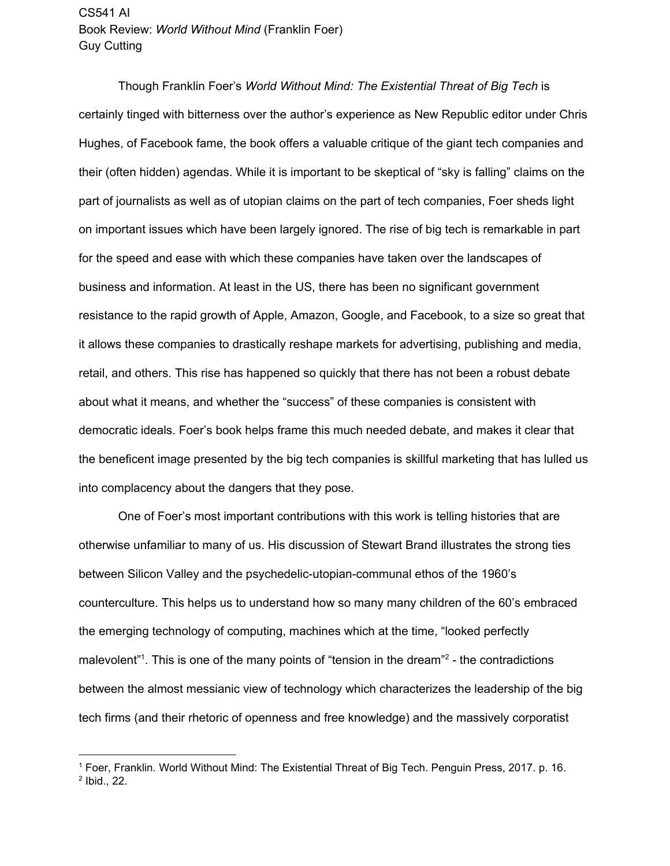Though Franklin Foer's *World Without Mind: The Existential Threat of Big Tech* is certainly tinged with bitterness over the author's experience as New Republic editor under Chris Hughes, of Facebook fame, the book offers a valuable critique of the giant tech companies and their (often hidden) agendas. While it is important to be skeptical of "sky is falling" claims on the part of journalists as well as of utopian claims on the part of tech companies, Foer sheds light on important issues which have been largely ignored. The rise of big tech is remarkable in part for the speed and ease with which these companies have taken over the landscapes of business and information. At least in the US, there has been no significant government resistance to the rapid growth of Apple, Amazon, Google, and Facebook, to a size so great that it allows these companies to drastically reshape markets for advertising, publishing and media, retail, and others. This rise has happened so quickly that there has not been a robust debate about what it means, and whether the "success" of these companies is consistent with democratic ideals. Foer's book helps frame this much needed debate, and makes it clear that the beneficent image presented by the big tech companies is skillful marketing that has lulled us into complacency about the dangers that they pose.

One of Foer's most important contributions with this work is telling histories that are otherwise unfamiliar to many of us. His discussion of Stewart Brand illustrates the strong ties between Silicon Valley and the psychedelic-utopian-communal ethos of the 1960's counterculture. This helps us to understand how so many many children of the 60's embraced the emerging technology of computing, machines which at the time, "looked perfectly malevolent<sup>"1</sup>. This is one of the many points of "tension in the dream"<sup>2</sup> - the contradictions between the almost messianic view of technology which characterizes the leadership of the big tech firms (and their rhetoric of openness and free knowledge) and the massively corporatist

<sup>1</sup> Foer, Franklin. World Without Mind: The Existential Threat of Big Tech. Penguin Press, 2017. p. 16. 2 Ibid., 22.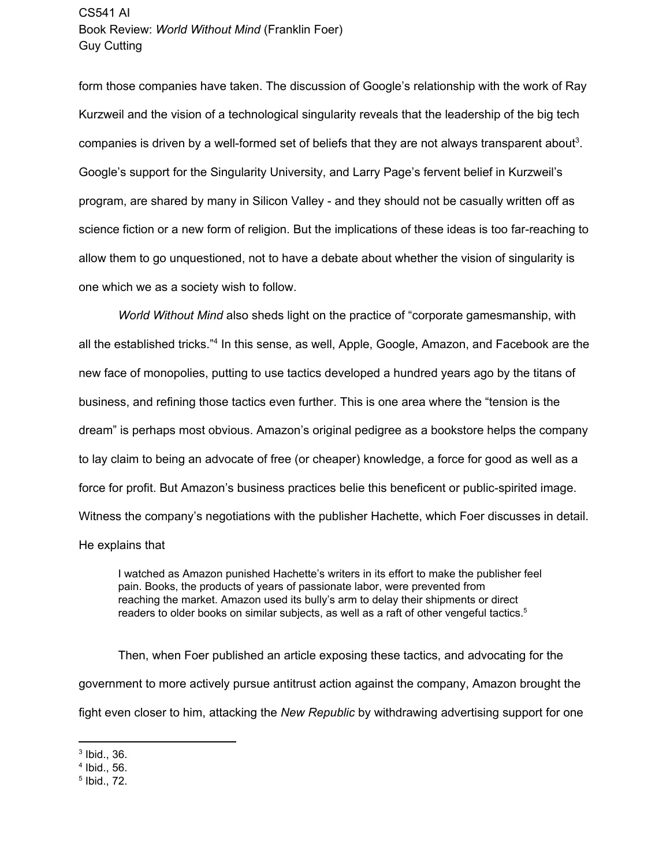form those companies have taken. The discussion of Google's relationship with the work of Ray Kurzweil and the vision of a technological singularity reveals that the leadership of the big tech companies is driven by a well-formed set of beliefs that they are not always transparent about<sup>3</sup>. Google's support for the Singularity University, and Larry Page's fervent belief in Kurzweil's program, are shared by many in Silicon Valley - and they should not be casually written off as science fiction or a new form of religion. But the implications of these ideas is too far-reaching to allow them to go unquestioned, not to have a debate about whether the vision of singularity is one which we as a society wish to follow.

*World Without Mind* also sheds light on the practice of "corporate gamesmanship, with all the established tricks."<sup>4</sup> In this sense, as well, Apple, Google, Amazon, and Facebook are the new face of monopolies, putting to use tactics developed a hundred years ago by the titans of business, and refining those tactics even further. This is one area where the "tension is the dream" is perhaps most obvious. Amazon's original pedigree as a bookstore helps the company to lay claim to being an advocate of free (or cheaper) knowledge, a force for good as well as a force for profit. But Amazon's business practices belie this beneficent or public-spirited image. Witness the company's negotiations with the publisher Hachette, which Foer discusses in detail. He explains that

I watched as Amazon punished Hachette's writers in its effort to make the publisher feel pain. Books, the products of years of passionate labor, were prevented from reaching the market. Amazon used its bully's arm to delay their shipments or direct readers to older books on similar subjects, as well as a raft of other vengeful tactics. 5

Then, when Foer published an article exposing these tactics, and advocating for the government to more actively pursue antitrust action against the company, Amazon brought the fight even closer to him, attacking the *New Republic* by withdrawing advertising support for one

<sup>3</sup> Ibid., 36.

<sup>4</sup> Ibid., 56.

<sup>5</sup> Ibid., 72.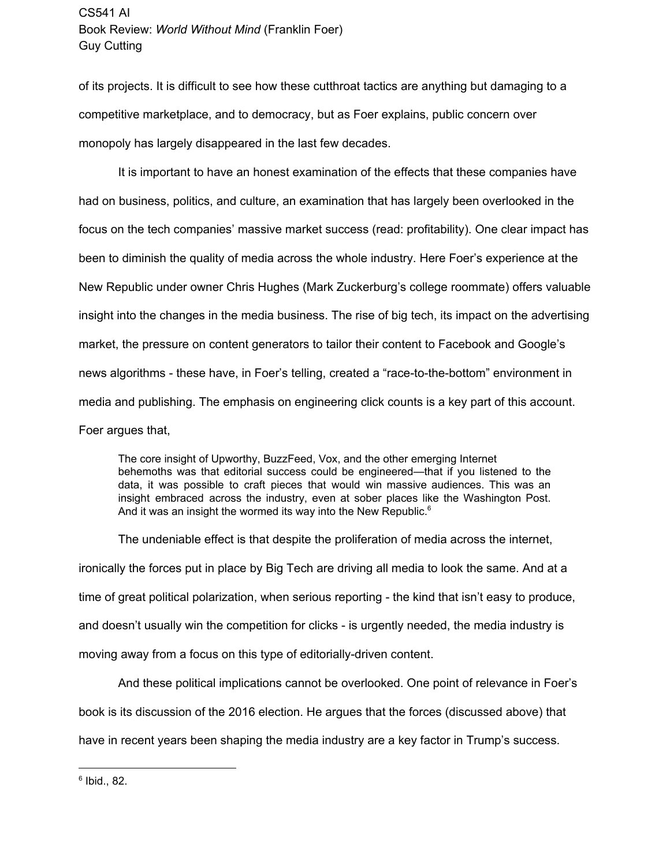of its projects. It is difficult to see how these cutthroat tactics are anything but damaging to a competitive marketplace, and to democracy, but as Foer explains, public concern over monopoly has largely disappeared in the last few decades.

It is important to have an honest examination of the effects that these companies have had on business, politics, and culture, an examination that has largely been overlooked in the focus on the tech companies' massive market success (read: profitability). One clear impact has been to diminish the quality of media across the whole industry. Here Foer's experience at the New Republic under owner Chris Hughes (Mark Zuckerburg's college roommate) offers valuable insight into the changes in the media business. The rise of big tech, its impact on the advertising market, the pressure on content generators to tailor their content to Facebook and Google's news algorithms - these have, in Foer's telling, created a "race-to-the-bottom" environment in media and publishing. The emphasis on engineering click counts is a key part of this account. Foer argues that,

The core insight of Upworthy, BuzzFeed, Vox, and the other emerging Internet behemoths was that editorial success could be engineered—that if you listened to the data, it was possible to craft pieces that would win massive audiences. This was an insight embraced across the industry, even at sober places like the Washington Post. And it was an insight the wormed its way into the New Republic.<sup>6</sup>

The undeniable effect is that despite the proliferation of media across the internet, ironically the forces put in place by Big Tech are driving all media to look the same. And at a time of great political polarization, when serious reporting - the kind that isn't easy to produce, and doesn't usually win the competition for clicks - is urgently needed, the media industry is moving away from a focus on this type of editorially-driven content.

And these political implications cannot be overlooked. One point of relevance in Foer's

book is its discussion of the 2016 election. He argues that the forces (discussed above) that

have in recent years been shaping the media industry are a key factor in Trump's success.

 $^6$  Ibid., 82.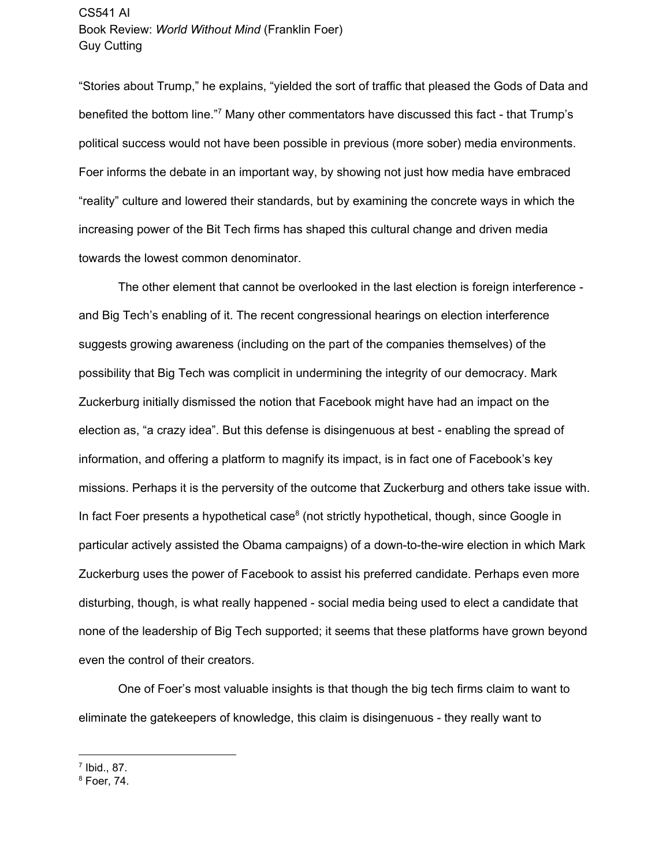"Stories about Trump," he explains, "yielded the sort of traffic that pleased the Gods of Data and benefited the bottom line."<sup>7</sup> Many other commentators have discussed this fact - that Trump's political success would not have been possible in previous (more sober) media environments. Foer informs the debate in an important way, by showing not just how media have embraced "reality" culture and lowered their standards, but by examining the concrete ways in which the increasing power of the Bit Tech firms has shaped this cultural change and driven media towards the lowest common denominator.

The other element that cannot be overlooked in the last election is foreign interference and Big Tech's enabling of it. The recent congressional hearings on election interference suggests growing awareness (including on the part of the companies themselves) of the possibility that Big Tech was complicit in undermining the integrity of our democracy. Mark Zuckerburg initially dismissed the notion that Facebook might have had an impact on the election as, "a crazy idea". But this defense is disingenuous at best - enabling the spread of information, and offering a platform to magnify its impact, is in fact one of Facebook's key missions. Perhaps it is the perversity of the outcome that Zuckerburg and others take issue with. In fact Foer presents a hypothetical case $<sup>8</sup>$  (not strictly hypothetical, though, since Google in</sup> particular actively assisted the Obama campaigns) of a down-to-the-wire election in which Mark Zuckerburg uses the power of Facebook to assist his preferred candidate. Perhaps even more disturbing, though, is what really happened - social media being used to elect a candidate that none of the leadership of Big Tech supported; it seems that these platforms have grown beyond even the control of their creators.

One of Foer's most valuable insights is that though the big tech firms claim to want to eliminate the gatekeepers of knowledge, this claim is disingenuous - they really want to

<sup>7</sup> Ibid., 87.

<sup>8</sup> Foer, 74.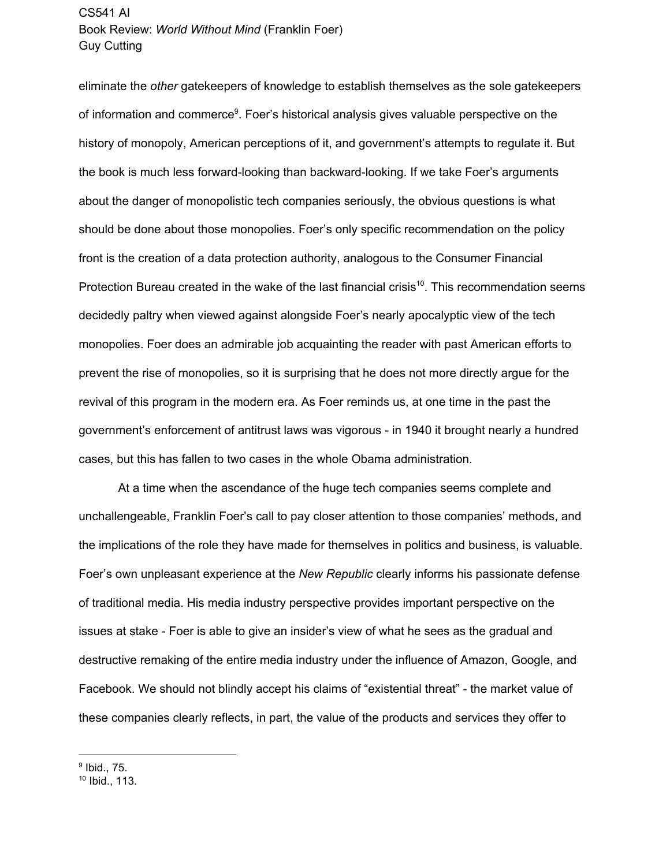eliminate the *other* gatekeepers of knowledge to establish themselves as the sole gatekeepers of information and commerce<sup>9</sup>. Foer's historical analysis gives valuable perspective on the history of monopoly, American perceptions of it, and government's attempts to regulate it. But the book is much less forward-looking than backward-looking. If we take Foer's arguments about the danger of monopolistic tech companies seriously, the obvious questions is what should be done about those monopolies. Foer's only specific recommendation on the policy front is the creation of a data protection authority, analogous to the Consumer Financial Protection Bureau created in the wake of the last financial crisis<sup>10</sup>. This recommendation seems decidedly paltry when viewed against alongside Foer's nearly apocalyptic view of the tech monopolies. Foer does an admirable job acquainting the reader with past American efforts to prevent the rise of monopolies, so it is surprising that he does not more directly argue for the revival of this program in the modern era. As Foer reminds us, at one time in the past the government's enforcement of antitrust laws was vigorous - in 1940 it brought nearly a hundred cases, but this has fallen to two cases in the whole Obama administration.

At a time when the ascendance of the huge tech companies seems complete and unchallengeable, Franklin Foer's call to pay closer attention to those companies' methods, and the implications of the role they have made for themselves in politics and business, is valuable. Foer's own unpleasant experience at the *New Republic* clearly informs his passionate defense of traditional media. His media industry perspective provides important perspective on the issues at stake - Foer is able to give an insider's view of what he sees as the gradual and destructive remaking of the entire media industry under the influence of Amazon, Google, and Facebook. We should not blindly accept his claims of "existential threat" - the market value of these companies clearly reflects, in part, the value of the products and services they offer to

<sup>9</sup> Ibid., 75.

<sup>10</sup> Ibid., 113.